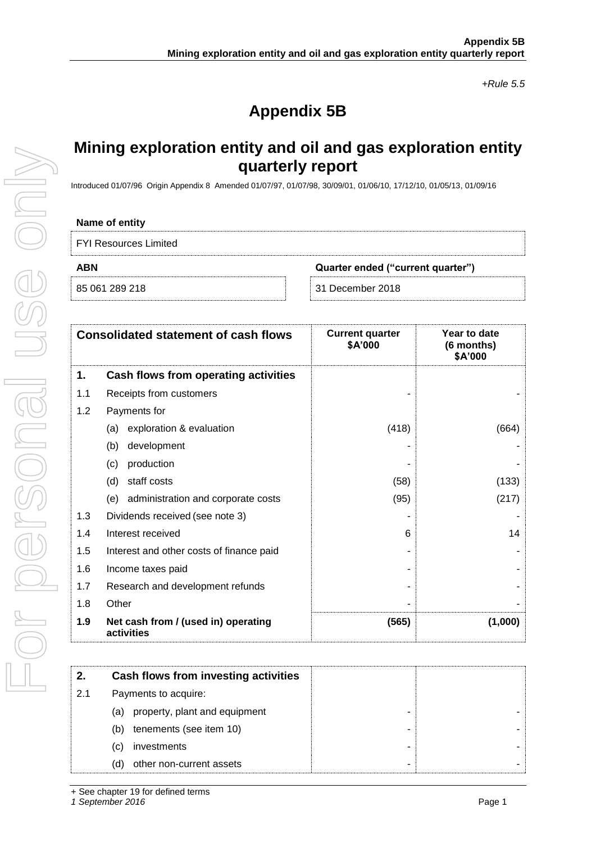*+Rule 5.5*

# **Appendix 5B**

## **Mining exploration entity and oil and gas exploration entity quarterly report**

Introduced 01/07/96 Origin Appendix 8 Amended 01/07/97, 01/07/98, 30/09/01, 01/06/10, 17/12/10, 01/05/13, 01/09/16

### **Name of entity**

| <b>FYI Resources Limited</b> |  |
|------------------------------|--|
|------------------------------|--|

|  | 85 061 289 218 |  |
|--|----------------|--|

**ABN Quarter ended ("current quarter")**

31 December 2018

|     | <b>Consolidated statement of cash flows</b>       | <b>Current quarter</b><br>\$A'000 | Year to date<br>(6 months)<br>\$A'000 |
|-----|---------------------------------------------------|-----------------------------------|---------------------------------------|
| 1.  | Cash flows from operating activities              |                                   |                                       |
| 1.1 | Receipts from customers                           |                                   |                                       |
| 1.2 | Payments for                                      |                                   |                                       |
|     | exploration & evaluation<br>(a)                   | (418)                             | (664)                                 |
|     | development<br>(b)                                |                                   |                                       |
|     | production<br>(c)                                 |                                   |                                       |
|     | staff costs<br>(d)                                | (58)                              | (133)                                 |
|     | (e) administration and corporate costs            | (95)                              | (217)                                 |
| 1.3 | Dividends received (see note 3)                   |                                   |                                       |
| 1.4 | Interest received                                 | 6                                 | 14                                    |
| 1.5 | Interest and other costs of finance paid          |                                   |                                       |
| 1.6 | Income taxes paid                                 |                                   |                                       |
| 1.7 | Research and development refunds                  |                                   |                                       |
| 1.8 | Other                                             |                                   |                                       |
| 1.9 | Net cash from / (used in) operating<br>activities | (565)                             | (1,000)                               |

|     | Cash flows from investing activities |
|-----|--------------------------------------|
| 2.1 | Payments to acquire:                 |
|     | property, plant and equipment<br>(a) |
|     | tenements (see item 10)<br>(b)       |
|     | investments<br>(C)                   |
|     | other non-current assets<br>(d)      |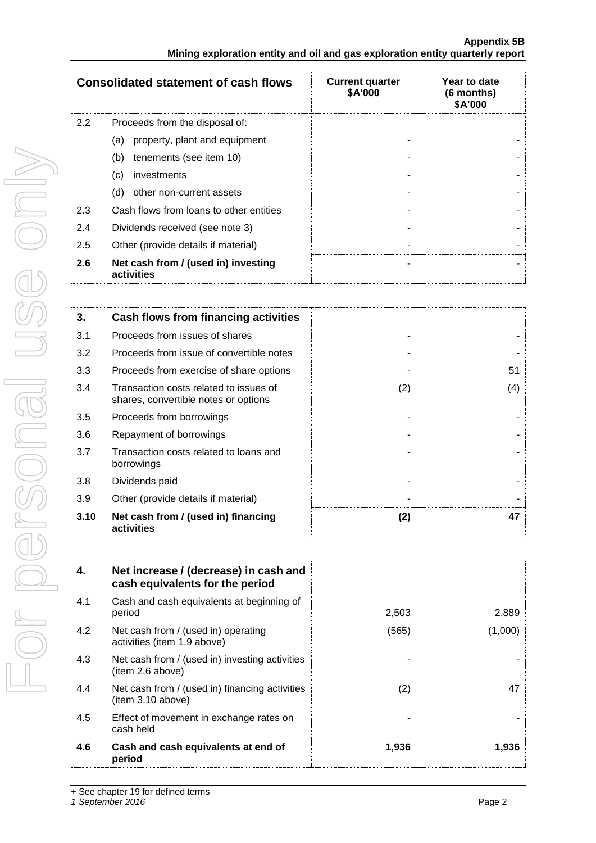|     | <b>Consolidated statement of cash flows</b>       | <b>Current quarter</b><br>\$A'000 | Year to date<br>(6 months)<br>\$A'000 |
|-----|---------------------------------------------------|-----------------------------------|---------------------------------------|
| 2.2 | Proceeds from the disposal of:                    |                                   |                                       |
|     | property, plant and equipment<br>(a)              |                                   |                                       |
|     | tenements (see item 10)<br>(b)                    |                                   |                                       |
|     | (c)<br>investments                                |                                   |                                       |
|     | (d)<br>other non-current assets                   |                                   |                                       |
| 2.3 | Cash flows from loans to other entities           |                                   |                                       |
| 2.4 | Dividends received (see note 3)                   |                                   |                                       |
| 2.5 | Other (provide details if material)               |                                   |                                       |
| 2.6 | Net cash from / (used in) investing<br>activities |                                   |                                       |

| 3.   | Cash flows from financing activities                                           |     |     |
|------|--------------------------------------------------------------------------------|-----|-----|
| 3.1  | Proceeds from issues of shares                                                 |     |     |
| 3.2  | Proceeds from issue of convertible notes                                       |     |     |
| 3.3  | Proceeds from exercise of share options                                        |     | 51  |
| 3.4  | Transaction costs related to issues of<br>shares, convertible notes or options | (2) | (4) |
| 3.5  | Proceeds from borrowings                                                       |     |     |
| 3.6  | Repayment of borrowings                                                        |     |     |
| 3.7  | Transaction costs related to loans and<br>borrowings                           |     |     |
| 3.8  | Dividends paid                                                                 |     |     |
| 3.9  | Other (provide details if material)                                            |     |     |
| 3.10 | Net cash from / (used in) financing<br>activities                              | (2) | 47  |

| 4.  | Net increase / (decrease) in cash and<br>cash equivalents for the period |       |         |
|-----|--------------------------------------------------------------------------|-------|---------|
| 4.1 | Cash and cash equivalents at beginning of<br>period                      | 2,503 | 2,889   |
| 4.2 | Net cash from / (used in) operating<br>activities (item 1.9 above)       | (565) | (1,000) |
| 4.3 | Net cash from / (used in) investing activities<br>(item 2.6 above)       |       |         |
| 4.4 | Net cash from / (used in) financing activities<br>(item 3.10 above)      | (2)   | 47      |
| 4.5 | Effect of movement in exchange rates on<br>cash held                     |       |         |
| 4.6 | Cash and cash equivalents at end of<br>period                            | 1,936 | 1,936   |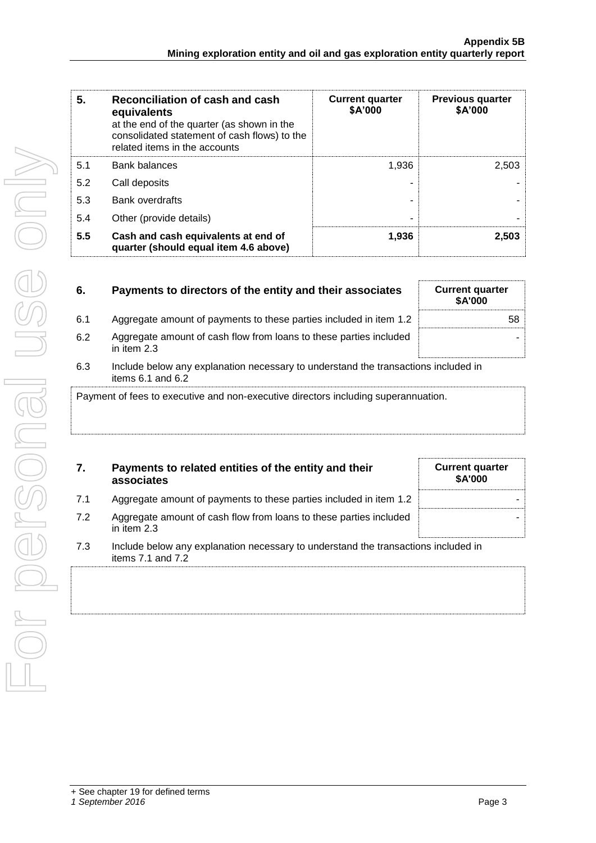| 5.  | Reconciliation of cash and cash<br>equivalents<br>at the end of the quarter (as shown in the<br>consolidated statement of cash flows) to the<br>related items in the accounts | <b>Current quarter</b><br>\$A'000 | <b>Previous quarter</b><br>\$A'000 |
|-----|-------------------------------------------------------------------------------------------------------------------------------------------------------------------------------|-----------------------------------|------------------------------------|
| 5.1 | <b>Bank balances</b>                                                                                                                                                          | 1,936                             | 2,503                              |
| 5.2 | Call deposits                                                                                                                                                                 |                                   |                                    |
| 5.3 | Bank overdrafts                                                                                                                                                               |                                   |                                    |
| 5.4 | Other (provide details)                                                                                                                                                       | ۰                                 |                                    |
| 5.5 | Cash and cash equivalents at end of<br>quarter (should equal item 4.6 above)                                                                                                  | 1.936                             | 2,503                              |

| 6.                                                                                 | Payments to directors of the entity and their associates                                                    | <b>Current quarter</b><br><b>\$A'000</b> |
|------------------------------------------------------------------------------------|-------------------------------------------------------------------------------------------------------------|------------------------------------------|
| 6.1                                                                                | Aggregate amount of payments to these parties included in item 1.2                                          | 58                                       |
| 6.2                                                                                | Aggregate amount of cash flow from loans to these parties included<br>in item $2.3$                         |                                          |
| 6.3                                                                                | Include below any explanation necessary to understand the transactions included in<br>items $6.1$ and $6.2$ |                                          |
| Payment of fees to executive and non-executive directors including superannuation. |                                                                                                             |                                          |

| 7.  | Payments to related entities of the entity and their<br>associates                                          | <b>Current quarter</b><br><b>\$A'000</b> |
|-----|-------------------------------------------------------------------------------------------------------------|------------------------------------------|
| 7.1 | Aggregate amount of payments to these parties included in item 1.2                                          |                                          |
| 7.2 | Aggregate amount of cash flow from loans to these parties included<br>in item $2.3$                         |                                          |
| 7.3 | Include below any explanation necessary to understand the transactions included in<br>items $7.1$ and $7.2$ |                                          |
|     |                                                                                                             |                                          |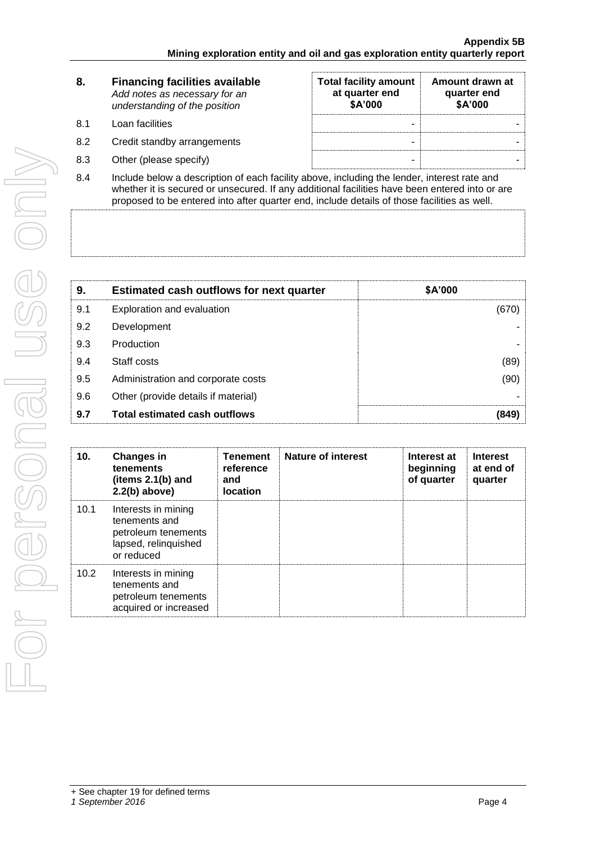| 8.  | <b>Financing facilities available</b><br>Add notes as necessary for an<br>understanding of the position     | <b>Total facility amount</b><br>at quarter end<br>\$A'000 | Amount drawn at<br>quarter end<br>\$A'000 |
|-----|-------------------------------------------------------------------------------------------------------------|-----------------------------------------------------------|-------------------------------------------|
| 8.1 | Loan facilities                                                                                             | -                                                         |                                           |
| 8.2 | Credit standby arrangements                                                                                 | -                                                         |                                           |
| 8.3 | Other (please specify)                                                                                      | -                                                         |                                           |
|     | المعرم ولعبر لممرجات والمحامرها وعالا ومعالمتها ومربوعات بالأالمول وامعم لمرموا والمحمول والزروام والمرامعا |                                                           |                                           |

8.4 Include below a description of each facility above, including the lender, interest rate and whether it is secured or unsecured. If any additional facilities have been entered into or are proposed to be entered into after quarter end, include details of those facilities as well.

| 9.  | <b>Estimated cash outflows for next quarter</b> | \$A'000 |
|-----|-------------------------------------------------|---------|
| 9.1 | Exploration and evaluation                      | (670)   |
| 9.2 | Development                                     |         |
| 9.3 | Production                                      |         |
| 9.4 | Staff costs                                     | (89)    |
| 9.5 | Administration and corporate costs              | (90)    |
| 9.6 | Other (provide details if material)             |         |
| 9.7 | <b>Total estimated cash outflows</b>            | (849)   |

| 10.  | <b>Changes in</b><br>tenements<br>(items 2.1(b) and<br>$2.2(b)$ above)                            | <b>Tenement</b><br>reference<br>and<br>location | <b>Nature of interest</b> | Interest at<br>beginning<br>of quarter | <b>Interest</b><br>at end of<br>quarter |
|------|---------------------------------------------------------------------------------------------------|-------------------------------------------------|---------------------------|----------------------------------------|-----------------------------------------|
| 10.1 | Interests in mining<br>tenements and<br>petroleum tenements<br>lapsed, relinquished<br>or reduced |                                                 |                           |                                        |                                         |
| 10.2 | Interests in mining<br>tenements and<br>petroleum tenements<br>acquired or increased              |                                                 |                           |                                        |                                         |